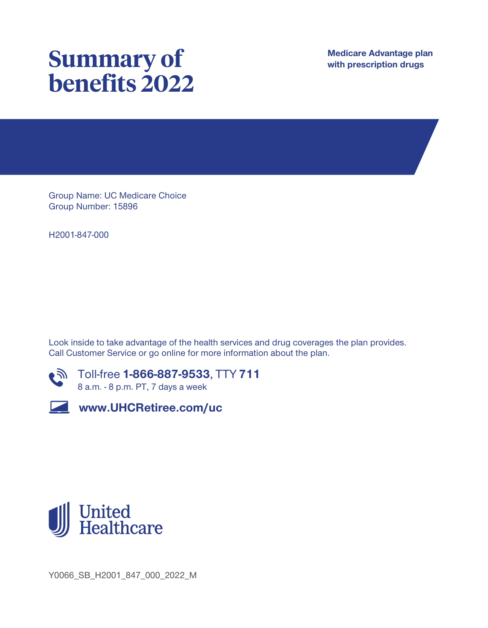# **Summary of benefits 2022**

**Medicare Advantage plan with prescription drugs**

**Group Name: UC Medicare Choice Group Number: 15896**

**H2001-847-000**

**Look inside to take advantage of the health services and drug coverages the plan provides. Call Customer Service or go online for more information about the plan.**



**Toll-free 1-866-887-9533, TTY 711 8 a.m. - 8 p.m. PT, 7 days a week**



**www.UHCRetiree.com/uc**



**Y0066\_SB\_H2001\_847\_000\_2022\_M**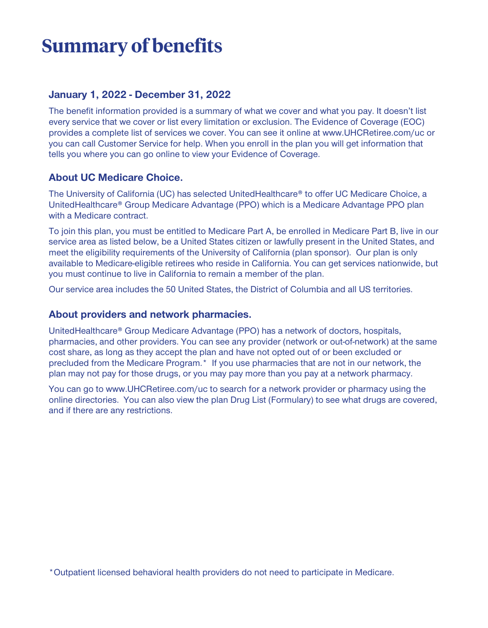## **Summary of benefits**

#### **January 1, 2022 - December 31, 2022**

**The benefit information provided is a summary of what we cover and what you pay. It doesn't list every service that we cover or list every limitation or exclusion. The Evidence of Coverage (EOC) provides a complete list of services we cover. You can see it online at www.UHCRetiree.com/uc or you can call Customer Service for help. When you enroll in the plan you will get information that tells you where you can go online to view your Evidence of Coverage.**

#### **About UC Medicare Choice.**

**The University of California (UC) has selected UnitedHealthcare® to offer UC Medicare Choice, a UnitedHealthcare® Group Medicare Advantage (PPO) which is a Medicare Advantage PPO plan with a Medicare contract.**

**To join this plan, you must be entitled to Medicare Part A, be enrolled in Medicare Part B, live in our service area as listed below, be a United States citizen or lawfully present in the United States, and meet the eligibility requirements of the University of California (plan sponsor). Our plan is only available to Medicare-eligible retirees who reside in California. You can get services nationwide, but you must continue to live in California to remain a member of the plan.**

**Our service area includes the 50 United States, the District of Columbia and all US territories.**

#### **About providers and network pharmacies.**

**UnitedHealthcare® Group Medicare Advantage (PPO) has a network of doctors, hospitals, pharmacies, and other providers. You can see any provider (network or out-of-network) at the same cost share, as long as they accept the plan and have not opted out of or been excluded or precluded from the Medicare Program.\* If you use pharmacies that are not in our network, the plan may not pay for those drugs, or you may pay more than you pay at a network pharmacy.**

**You can go to www.UHCRetiree.com/uc to search for a network provider or pharmacy using the online directories. You can also view the plan Drug List (Formulary) to see what drugs are covered, and if there are any restrictions.** 

**\*Outpatient licensed behavioral health providers do not need to participate in Medicare.**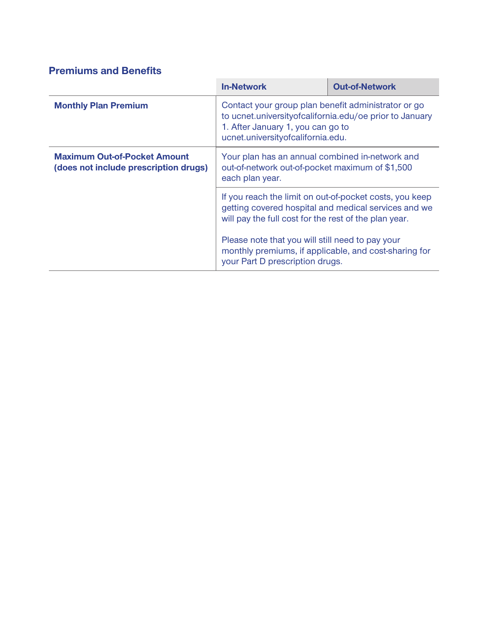### **Premiums and Benefits**

|                                                                              | <b>In-Network</b>                                                                                                                                                                          | <b>Out-of-Network</b> |
|------------------------------------------------------------------------------|--------------------------------------------------------------------------------------------------------------------------------------------------------------------------------------------|-----------------------|
| <b>Monthly Plan Premium</b>                                                  | Contact your group plan benefit administrator or go<br>to ucnet.university of california.edu/oe prior to January<br>1. After January 1, you can go to<br>ucnet.universityofcalifornia.edu. |                       |
| <b>Maximum Out-of-Pocket Amount</b><br>(does not include prescription drugs) | Your plan has an annual combined in-network and<br>out-of-network out-of-pocket maximum of \$1,500<br>each plan year.                                                                      |                       |
|                                                                              | If you reach the limit on out-of-pocket costs, you keep<br>getting covered hospital and medical services and we<br>will pay the full cost for the rest of the plan year.                   |                       |
|                                                                              | Please note that you will still need to pay your<br>monthly premiums, if applicable, and cost-sharing for<br>your Part D prescription drugs.                                               |                       |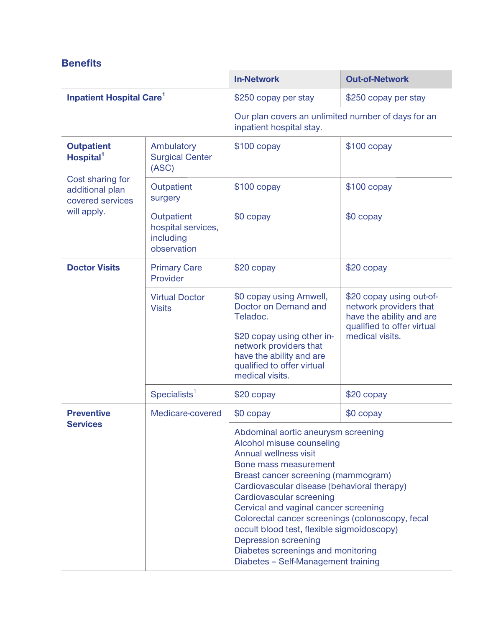|                                                         |                                                              | <b>In-Network</b>                                                                                                                                                                                                                                                                                                                                                                                                                                                                                  | <b>Out-of-Network</b>                                                                                                           |
|---------------------------------------------------------|--------------------------------------------------------------|----------------------------------------------------------------------------------------------------------------------------------------------------------------------------------------------------------------------------------------------------------------------------------------------------------------------------------------------------------------------------------------------------------------------------------------------------------------------------------------------------|---------------------------------------------------------------------------------------------------------------------------------|
| <b>Inpatient Hospital Care<sup>1</sup></b>              |                                                              | \$250 copay per stay                                                                                                                                                                                                                                                                                                                                                                                                                                                                               | \$250 copay per stay                                                                                                            |
|                                                         |                                                              | Our plan covers an unlimited number of days for an<br>inpatient hospital stay.                                                                                                                                                                                                                                                                                                                                                                                                                     |                                                                                                                                 |
| <b>Outpatient</b><br>Hospital <sup>1</sup>              | Ambulatory<br><b>Surgical Center</b><br>(ASC)                | $$100$ copay                                                                                                                                                                                                                                                                                                                                                                                                                                                                                       | $$100$ copay                                                                                                                    |
| Cost sharing for<br>additional plan<br>covered services | Outpatient<br>surgery                                        | $$100$ copay                                                                                                                                                                                                                                                                                                                                                                                                                                                                                       | $$100$ copay                                                                                                                    |
| will apply.                                             | Outpatient<br>hospital services,<br>including<br>observation | $$0$ copay                                                                                                                                                                                                                                                                                                                                                                                                                                                                                         | \$0 copay                                                                                                                       |
| <b>Doctor Visits</b>                                    | <b>Primary Care</b><br>Provider                              | $$20$ copay                                                                                                                                                                                                                                                                                                                                                                                                                                                                                        | $$20$ copay                                                                                                                     |
|                                                         | <b>Virtual Doctor</b><br><b>Visits</b>                       | \$0 copay using Amwell,<br>Doctor on Demand and<br>Teladoc.<br>\$20 copay using other in-<br>network providers that<br>have the ability and are<br>qualified to offer virtual<br>medical visits.                                                                                                                                                                                                                                                                                                   | \$20 copay using out-of-<br>network providers that<br>have the ability and are<br>qualified to offer virtual<br>medical visits. |
|                                                         | Specialists <sup>1</sup>                                     | \$20 copay                                                                                                                                                                                                                                                                                                                                                                                                                                                                                         | $$20$ copay                                                                                                                     |
| <b>Preventive</b>                                       | Medicare-covered                                             | \$0 copay                                                                                                                                                                                                                                                                                                                                                                                                                                                                                          | \$0 copay                                                                                                                       |
| <b>Services</b>                                         |                                                              | Abdominal aortic aneurysm screening<br>Alcohol misuse counseling<br><b>Annual wellness visit</b><br>Bone mass measurement<br>Breast cancer screening (mammogram)<br>Cardiovascular disease (behavioral therapy)<br>Cardiovascular screening<br>Cervical and vaginal cancer screening<br>Colorectal cancer screenings (colonoscopy, fecal<br>occult blood test, flexible sigmoidoscopy)<br><b>Depression screening</b><br>Diabetes screenings and monitoring<br>Diabetes - Self-Management training |                                                                                                                                 |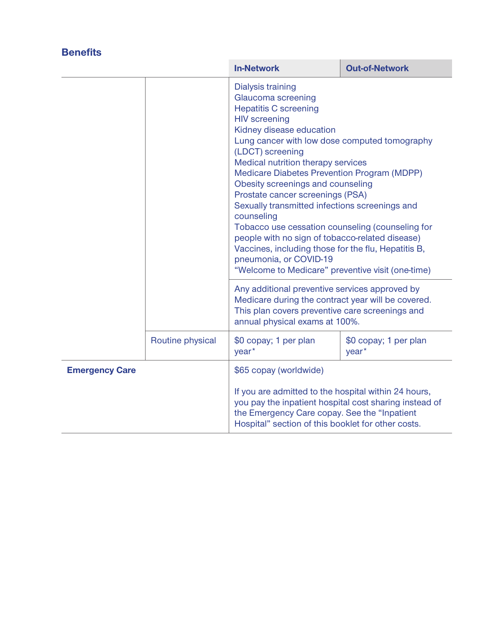| <b>Benefits</b> |                  |                                                                                                                                                                                                                                                                                                                                                                                                                                                                                                                                                                                                                                                                             |                                            |
|-----------------|------------------|-----------------------------------------------------------------------------------------------------------------------------------------------------------------------------------------------------------------------------------------------------------------------------------------------------------------------------------------------------------------------------------------------------------------------------------------------------------------------------------------------------------------------------------------------------------------------------------------------------------------------------------------------------------------------------|--------------------------------------------|
|                 |                  | <b>In-Network</b>                                                                                                                                                                                                                                                                                                                                                                                                                                                                                                                                                                                                                                                           | <b>Out-of-Network</b>                      |
|                 |                  | Dialysis training<br>Glaucoma screening<br><b>Hepatitis C screening</b><br><b>HIV</b> screening<br>Kidney disease education<br>Lung cancer with low dose computed tomography<br>(LDCT) screening<br>Medical nutrition therapy services<br>Medicare Diabetes Prevention Program (MDPP)<br>Obesity screenings and counseling<br>Prostate cancer screenings (PSA)<br>Sexually transmitted infections screenings and<br>counseling<br>Tobacco use cessation counseling (counseling for<br>people with no sign of tobacco-related disease)<br>Vaccines, including those for the flu, Hepatitis B,<br>pneumonia, or COVID-19<br>"Welcome to Medicare" preventive visit (one-time) |                                            |
|                 |                  | Any additional preventive services approved by<br>Medicare during the contract year will be covered.<br>This plan covers preventive care screenings and<br>annual physical exams at 100%.                                                                                                                                                                                                                                                                                                                                                                                                                                                                                   |                                            |
|                 | Routine physical | \$0 copay; 1 per plan<br>year <sup>*</sup>                                                                                                                                                                                                                                                                                                                                                                                                                                                                                                                                                                                                                                  | \$0 copay; 1 per plan<br>year <sup>*</sup> |
|                 |                  |                                                                                                                                                                                                                                                                                                                                                                                                                                                                                                                                                                                                                                                                             |                                            |

|                       | year                                                                                                                                                                                                                  | vear |
|-----------------------|-----------------------------------------------------------------------------------------------------------------------------------------------------------------------------------------------------------------------|------|
| <b>Emergency Care</b> | \$65 copay (worldwide)                                                                                                                                                                                                |      |
|                       | If you are admitted to the hospital within 24 hours,<br>you pay the inpatient hospital cost sharing instead of<br>the Emergency Care copay. See the "Inpatient"<br>Hospital" section of this booklet for other costs. |      |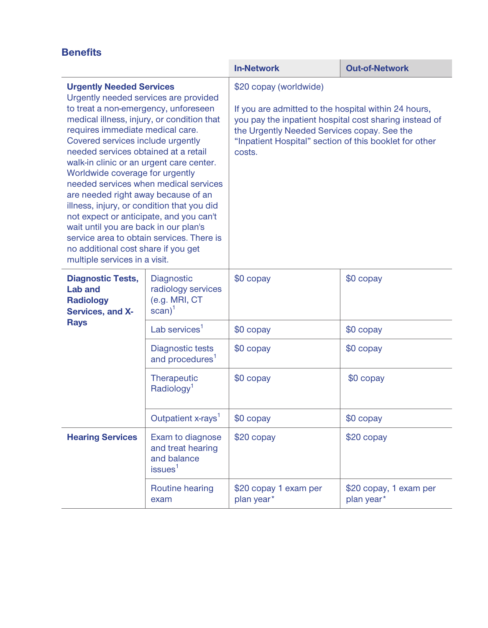|                                                                                                                                                                                                                                                                                                                                                                                                                                                                                                                                                                                                                                                              |                                                                             | <b>In-Network</b>                                                                                                                                                                                                                                           | <b>Out-of-Network</b>                |
|--------------------------------------------------------------------------------------------------------------------------------------------------------------------------------------------------------------------------------------------------------------------------------------------------------------------------------------------------------------------------------------------------------------------------------------------------------------------------------------------------------------------------------------------------------------------------------------------------------------------------------------------------------------|-----------------------------------------------------------------------------|-------------------------------------------------------------------------------------------------------------------------------------------------------------------------------------------------------------------------------------------------------------|--------------------------------------|
| <b>Urgently Needed Services</b><br>Urgently needed services are provided<br>to treat a non-emergency, unforeseen<br>medical illness, injury, or condition that<br>requires immediate medical care.<br>Covered services include urgently<br>needed services obtained at a retail<br>walk-in clinic or an urgent care center.<br>Worldwide coverage for urgently<br>are needed right away because of an<br>illness, injury, or condition that you did<br>not expect or anticipate, and you can't<br>wait until you are back in our plan's<br>service area to obtain services. There is<br>no additional cost share if you get<br>multiple services in a visit. | needed services when medical services                                       | \$20 copay (worldwide)<br>If you are admitted to the hospital within 24 hours,<br>you pay the inpatient hospital cost sharing instead of<br>the Urgently Needed Services copay. See the<br>"Inpatient Hospital" section of this booklet for other<br>costs. |                                      |
| <b>Diagnostic Tests,</b><br><b>Lab and</b><br><b>Radiology</b><br>Services, and X-                                                                                                                                                                                                                                                                                                                                                                                                                                                                                                                                                                           | Diagnostic<br>radiology services<br>(e.g. MRI, CT<br>$scan)^1$              | \$0 copay                                                                                                                                                                                                                                                   | \$0 copay                            |
| <b>Rays</b>                                                                                                                                                                                                                                                                                                                                                                                                                                                                                                                                                                                                                                                  | Lab services $1$                                                            | $$0$ copay                                                                                                                                                                                                                                                  | \$0 copay                            |
|                                                                                                                                                                                                                                                                                                                                                                                                                                                                                                                                                                                                                                                              | Diagnostic tests<br>and procedures <sup>1</sup>                             | \$0 copay                                                                                                                                                                                                                                                   | \$0 copay                            |
|                                                                                                                                                                                                                                                                                                                                                                                                                                                                                                                                                                                                                                                              | Therapeutic<br>Radiology <sup>1</sup>                                       | \$0 copay                                                                                                                                                                                                                                                   | \$0 copay                            |
|                                                                                                                                                                                                                                                                                                                                                                                                                                                                                                                                                                                                                                                              | Outpatient x-rays <sup>1</sup>                                              | $$0$ copay                                                                                                                                                                                                                                                  | \$0 copay                            |
| <b>Hearing Services</b>                                                                                                                                                                                                                                                                                                                                                                                                                                                                                                                                                                                                                                      | Exam to diagnose<br>and treat hearing<br>and balance<br>issues <sup>1</sup> | \$20 copay                                                                                                                                                                                                                                                  | $$20$ copay                          |
|                                                                                                                                                                                                                                                                                                                                                                                                                                                                                                                                                                                                                                                              | Routine hearing<br>exam                                                     | \$20 copay 1 exam per<br>plan year*                                                                                                                                                                                                                         | \$20 copay, 1 exam per<br>plan year* |
|                                                                                                                                                                                                                                                                                                                                                                                                                                                                                                                                                                                                                                                              |                                                                             |                                                                                                                                                                                                                                                             |                                      |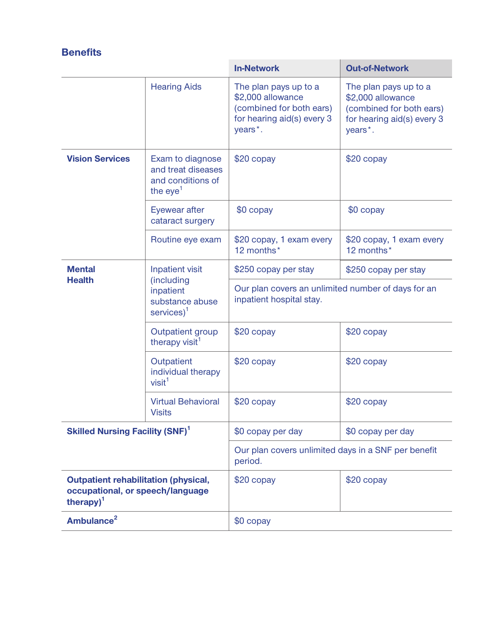|                                                                                                          |                                                                           | <b>In-Network</b>                                                                                                            | <b>Out-of-Network</b>                                                                                                        |
|----------------------------------------------------------------------------------------------------------|---------------------------------------------------------------------------|------------------------------------------------------------------------------------------------------------------------------|------------------------------------------------------------------------------------------------------------------------------|
|                                                                                                          | <b>Hearing Aids</b>                                                       | The plan pays up to a<br>\$2,000 allowance<br>(combined for both ears)<br>for hearing aid(s) every 3<br>years <sup>*</sup> . | The plan pays up to a<br>\$2,000 allowance<br>(combined for both ears)<br>for hearing aid(s) every 3<br>years <sup>*</sup> . |
| <b>Vision Services</b>                                                                                   | Exam to diagnose<br>and treat diseases<br>and conditions of<br>the $eye1$ | $$20$ copay                                                                                                                  | $$20$ copay                                                                                                                  |
|                                                                                                          | Eyewear after<br>cataract surgery                                         | $$0$ copay                                                                                                                   | \$0 copay                                                                                                                    |
|                                                                                                          | Routine eye exam                                                          | \$20 copay, 1 exam every<br>12 months*                                                                                       | \$20 copay, 1 exam every<br>12 months*                                                                                       |
| <b>Mental</b><br><b>Health</b>                                                                           | Inpatient visit                                                           | \$250 copay per stay                                                                                                         | \$250 copay per stay                                                                                                         |
|                                                                                                          | (including<br>inpatient<br>substance abuse<br>$s$ ervices $)^1$           | Our plan covers an unlimited number of days for an<br>inpatient hospital stay.                                               |                                                                                                                              |
|                                                                                                          | <b>Outpatient group</b><br>therapy visit <sup>1</sup>                     | $$20$ copay                                                                                                                  | \$20 copay                                                                                                                   |
|                                                                                                          | Outpatient<br>individual therapy<br>visit <sup>1</sup>                    | $$20$ copay                                                                                                                  | $$20$ copay                                                                                                                  |
|                                                                                                          | <b>Virtual Behavioral</b><br><b>Visits</b>                                | \$20 copay                                                                                                                   | \$20 copay                                                                                                                   |
| <b>Skilled Nursing Facility (SNF)</b> <sup>1</sup>                                                       |                                                                           | \$0 copay per day                                                                                                            | \$0 copay per day                                                                                                            |
|                                                                                                          |                                                                           | Our plan covers unlimited days in a SNF per benefit<br>period.                                                               |                                                                                                                              |
| <b>Outpatient rehabilitation (physical,</b><br>occupational, or speech/language<br>therapy) <sup>1</sup> |                                                                           | \$20 copay                                                                                                                   | \$20 copay                                                                                                                   |
| Ambulance <sup>2</sup>                                                                                   |                                                                           | $$0$ copay                                                                                                                   |                                                                                                                              |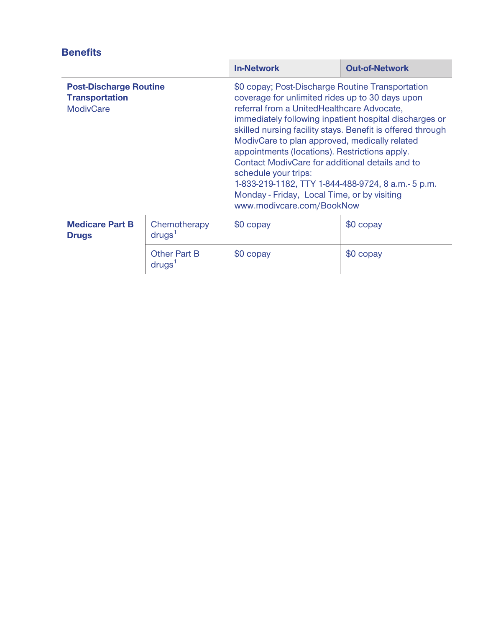|                                                                            |                                           | <b>In-Network</b>                                                                                                                                                                                                                                                                                                                                                                                                                                                                                                                                                                        | <b>Out-of-Network</b> |
|----------------------------------------------------------------------------|-------------------------------------------|------------------------------------------------------------------------------------------------------------------------------------------------------------------------------------------------------------------------------------------------------------------------------------------------------------------------------------------------------------------------------------------------------------------------------------------------------------------------------------------------------------------------------------------------------------------------------------------|-----------------------|
| <b>Post-Discharge Routine</b><br><b>Transportation</b><br><b>ModivCare</b> |                                           | \$0 copay; Post-Discharge Routine Transportation<br>coverage for unlimited rides up to 30 days upon<br>referral from a UnitedHealthcare Advocate,<br>immediately following inpatient hospital discharges or<br>skilled nursing facility stays. Benefit is offered through<br>ModivCare to plan approved, medically related<br>appointments (locations). Restrictions apply.<br>Contact ModivCare for additional details and to<br>schedule your trips:<br>1-833-219-1182, TTY 1-844-488-9724, 8 a.m.- 5 p.m.<br>Monday - Friday, Local Time, or by visiting<br>www.modivcare.com/BookNow |                       |
| <b>Medicare Part B</b><br><b>Drugs</b>                                     | Chemotherapy<br>drugs <sup>1</sup>        | \$0 copay                                                                                                                                                                                                                                                                                                                                                                                                                                                                                                                                                                                | \$0 copay             |
|                                                                            | <b>Other Part B</b><br>drugs <sup>1</sup> | \$0 copay                                                                                                                                                                                                                                                                                                                                                                                                                                                                                                                                                                                | \$0 copay             |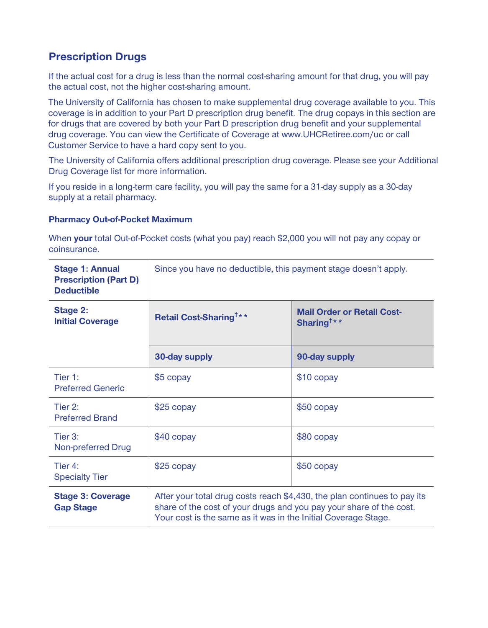#### **Prescription Drugs**

**If the actual cost for a drug is less than the normal cost-sharing amount for that drug, you will pay the actual cost, not the higher cost-sharing amount.**

**The University of California has chosen to make supplemental drug coverage available to you. This coverage is in addition to your Part D prescription drug benefit. The drug copays in this section are for drugs that are covered by both your Part D prescription drug benefit and your supplemental drug coverage. You can view the Certificate of Coverage at www.UHCRetiree.com/uc or call Customer Service to have a hard copy sent to you.**

**The University of California offers additional prescription drug coverage. Please see your Additional Drug Coverage list for more information.**

**If you reside in a long-term care facility, you will pay the same for a 31-day supply as a 30-day supply at a retail pharmacy.**

#### **Pharmacy Out-of-Pocket Maximum**

**When your total Out-of-Pocket costs (what you pay) reach \$2,000 you will not pay any copay or coinsurance.**

| <b>Stage 1: Annual</b><br><b>Prescription (Part D)</b><br><b>Deductible</b> | Since you have no deductible, this payment stage doesn't apply.                                                                                                                                                   |                                                             |
|-----------------------------------------------------------------------------|-------------------------------------------------------------------------------------------------------------------------------------------------------------------------------------------------------------------|-------------------------------------------------------------|
| <b>Stage 2:</b><br><b>Initial Coverage</b>                                  | Retail Cost-Sharing <sup>†**</sup>                                                                                                                                                                                | <b>Mail Order or Retail Cost-</b><br>Sharing <sup>†**</sup> |
|                                                                             | 30-day supply                                                                                                                                                                                                     | 90-day supply                                               |
| Tier $1$ :<br><b>Preferred Generic</b>                                      | \$5 copay                                                                                                                                                                                                         | \$10 copay                                                  |
| Tier $2:$<br><b>Preferred Brand</b>                                         | $$25$ copay                                                                                                                                                                                                       | $$50$ copay                                                 |
| Tier 3:<br>Non-preferred Drug                                               | \$40 copay                                                                                                                                                                                                        | $$80$ copay                                                 |
| Tier 4:<br><b>Specialty Tier</b>                                            | $$25$ copay                                                                                                                                                                                                       | \$50 copay                                                  |
| <b>Stage 3: Coverage</b><br><b>Gap Stage</b>                                | After your total drug costs reach \$4,430, the plan continues to pay its<br>share of the cost of your drugs and you pay your share of the cost.<br>Your cost is the same as it was in the Initial Coverage Stage. |                                                             |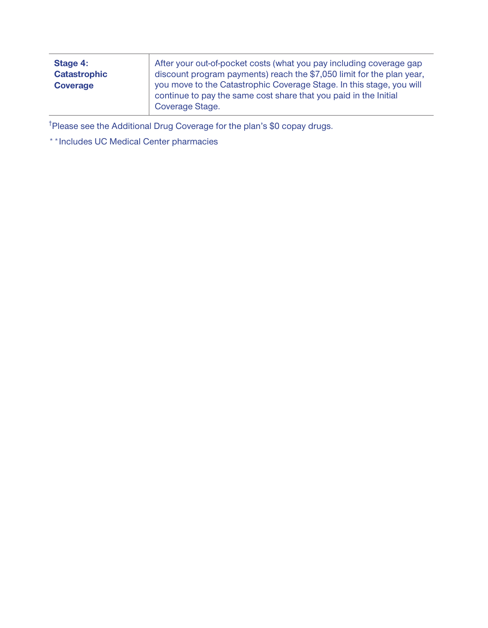| Stage 4:<br><b>Catastrophic</b><br><b>Coverage</b> | After your out-of-pocket costs (what you pay including coverage gap<br>discount program payments) reach the \$7,050 limit for the plan year,<br>you move to the Catastrophic Coverage Stage. In this stage, you will<br>continue to pay the same cost share that you paid in the Initial |
|----------------------------------------------------|------------------------------------------------------------------------------------------------------------------------------------------------------------------------------------------------------------------------------------------------------------------------------------------|
|                                                    | Coverage Stage.                                                                                                                                                                                                                                                                          |

**†Please see the Additional Drug Coverage for the plan's \$0 copay drugs.**

**\*\*Includes UC Medical Center pharmacies**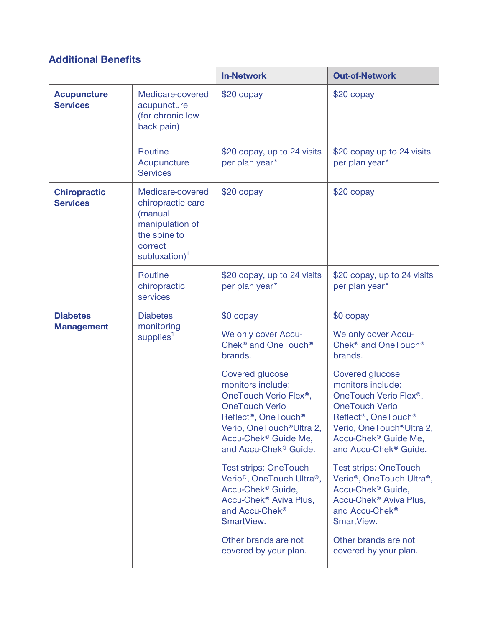## **Additional Benefits**

|                                        |                                                                                                                    | <b>In-Network</b>                                                                                                                                                                                                                                                                                                                                                                                                                                                                                                                                                                                                             | <b>Out-of-Network</b>                                                                                                                                                                                                                                                                                                                                                                                                                                                                                                                                                                                                         |
|----------------------------------------|--------------------------------------------------------------------------------------------------------------------|-------------------------------------------------------------------------------------------------------------------------------------------------------------------------------------------------------------------------------------------------------------------------------------------------------------------------------------------------------------------------------------------------------------------------------------------------------------------------------------------------------------------------------------------------------------------------------------------------------------------------------|-------------------------------------------------------------------------------------------------------------------------------------------------------------------------------------------------------------------------------------------------------------------------------------------------------------------------------------------------------------------------------------------------------------------------------------------------------------------------------------------------------------------------------------------------------------------------------------------------------------------------------|
| <b>Acupuncture</b><br><b>Services</b>  | Medicare-covered<br>acupuncture<br>(for chronic low<br>back pain)                                                  | \$20 copay                                                                                                                                                                                                                                                                                                                                                                                                                                                                                                                                                                                                                    | \$20 copay                                                                                                                                                                                                                                                                                                                                                                                                                                                                                                                                                                                                                    |
|                                        | <b>Routine</b><br>Acupuncture<br><b>Services</b>                                                                   | \$20 copay, up to 24 visits<br>per plan year*                                                                                                                                                                                                                                                                                                                                                                                                                                                                                                                                                                                 | \$20 copay up to 24 visits<br>per plan year*                                                                                                                                                                                                                                                                                                                                                                                                                                                                                                                                                                                  |
| <b>Chiropractic</b><br><b>Services</b> | Medicare-covered<br>chiropractic care<br>(manual<br>manipulation of<br>the spine to<br>correct<br>subluxation) $1$ | $$20$ copay                                                                                                                                                                                                                                                                                                                                                                                                                                                                                                                                                                                                                   | \$20 copay                                                                                                                                                                                                                                                                                                                                                                                                                                                                                                                                                                                                                    |
|                                        | <b>Routine</b><br>chiropractic<br>services                                                                         | \$20 copay, up to 24 visits<br>per plan year*                                                                                                                                                                                                                                                                                                                                                                                                                                                                                                                                                                                 | \$20 copay, up to 24 visits<br>per plan year*                                                                                                                                                                                                                                                                                                                                                                                                                                                                                                                                                                                 |
| <b>Diabetes</b><br><b>Management</b>   | <b>Diabetes</b><br>monitoring<br>supplies <sup>1</sup>                                                             | \$0 copay<br>We only cover Accu-<br>Chek <sup>®</sup> and OneTouch <sup>®</sup><br>brands.<br>Covered glucose<br>monitors include:<br>OneTouch Verio Flex <sup>®</sup> ,<br><b>OneTouch Verio</b><br>Reflect <sup>®</sup> , OneTouch <sup>®</sup><br>Verio, OneTouch <sup>®</sup> Ultra 2,<br>Accu-Chek <sup>®</sup> Guide Me,<br>and Accu-Chek <sup>®</sup> Guide.<br><b>Test strips: OneTouch</b><br>Verio <sup>®</sup> , OneTouch Ultra <sup>®</sup> ,<br>Accu-Chek <sup>®</sup> Guide,<br>Accu-Chek <sup>®</sup> Aviva Plus,<br>and Accu-Chek <sup>®</sup><br>SmartView.<br>Other brands are not<br>covered by your plan. | \$0 copay<br>We only cover Accu-<br>Chek <sup>®</sup> and OneTouch <sup>®</sup><br>brands.<br>Covered glucose<br>monitors include:<br>OneTouch Verio Flex <sup>®</sup> ,<br><b>OneTouch Verio</b><br>Reflect <sup>®</sup> , OneTouch <sup>®</sup><br>Verio, OneTouch <sup>®</sup> Ultra 2,<br>Accu-Chek <sup>®</sup> Guide Me,<br>and Accu-Chek <sup>®</sup> Guide.<br><b>Test strips: OneTouch</b><br>Verio <sup>®</sup> , OneTouch Ultra <sup>®</sup> ,<br>Accu-Chek <sup>®</sup> Guide,<br>Accu-Chek <sup>®</sup> Aviva Plus,<br>and Accu-Chek <sup>®</sup><br>SmartView.<br>Other brands are not<br>covered by your plan. |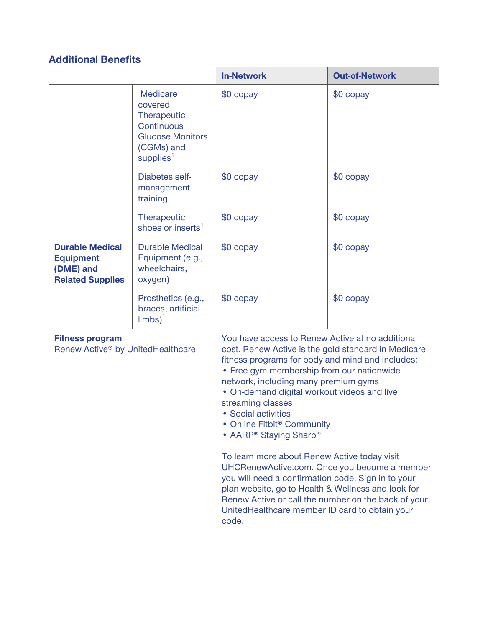## **Additional Benefits**

|                                                                                                                                                                                                                                                                                                                                                                                                                                                                                                                                                                                                                                                                                                                                                                                                                                                  |                                                                                                                           | <b>In-Network</b> | <b>Out-of-Network</b> |
|--------------------------------------------------------------------------------------------------------------------------------------------------------------------------------------------------------------------------------------------------------------------------------------------------------------------------------------------------------------------------------------------------------------------------------------------------------------------------------------------------------------------------------------------------------------------------------------------------------------------------------------------------------------------------------------------------------------------------------------------------------------------------------------------------------------------------------------------------|---------------------------------------------------------------------------------------------------------------------------|-------------------|-----------------------|
|                                                                                                                                                                                                                                                                                                                                                                                                                                                                                                                                                                                                                                                                                                                                                                                                                                                  | <b>Medicare</b><br>covered<br>Therapeutic<br>Continuous<br><b>Glucose Monitors</b><br>(CGMs) and<br>supplies <sup>1</sup> | \$0 copay         | \$0 copay             |
|                                                                                                                                                                                                                                                                                                                                                                                                                                                                                                                                                                                                                                                                                                                                                                                                                                                  | Diabetes self-<br>management<br>training                                                                                  | \$0 copay         | \$0 copay             |
|                                                                                                                                                                                                                                                                                                                                                                                                                                                                                                                                                                                                                                                                                                                                                                                                                                                  | Therapeutic<br>shoes or inserts <sup>1</sup>                                                                              | \$0 copay         | \$0 copay             |
| <b>Durable Medical</b><br><b>Equipment</b><br>(DME) and<br><b>Related Supplies</b>                                                                                                                                                                                                                                                                                                                                                                                                                                                                                                                                                                                                                                                                                                                                                               | <b>Durable Medical</b><br>Equipment (e.g.,<br>wheelchairs,<br>$oxygen)^1$                                                 | \$0 copay         | \$0 copay             |
|                                                                                                                                                                                                                                                                                                                                                                                                                                                                                                                                                                                                                                                                                                                                                                                                                                                  | Prosthetics (e.g.,<br>braces, artificial<br>$limbs)^1$                                                                    | \$0 copay         | \$0 copay             |
| You have access to Renew Active at no additional<br><b>Fitness program</b><br>Renew Active <sup>®</sup> by UnitedHealthcare<br>cost. Renew Active is the gold standard in Medicare<br>fitness programs for body and mind and includes:<br>• Free gym membership from our nationwide<br>network, including many premium gyms<br>• On-demand digital workout videos and live<br>streaming classes<br>• Social activities<br>• Online Fitbit <sup>®</sup> Community<br>• AARP <sup>®</sup> Staying Sharp <sup>®</sup><br>To learn more about Renew Active today visit<br>UHCRenewActive.com. Once you become a member<br>you will need a confirmation code. Sign in to your<br>plan website, go to Health & Wellness and look for<br>Renew Active or call the number on the back of your<br>UnitedHealthcare member ID card to obtain your<br>code. |                                                                                                                           |                   |                       |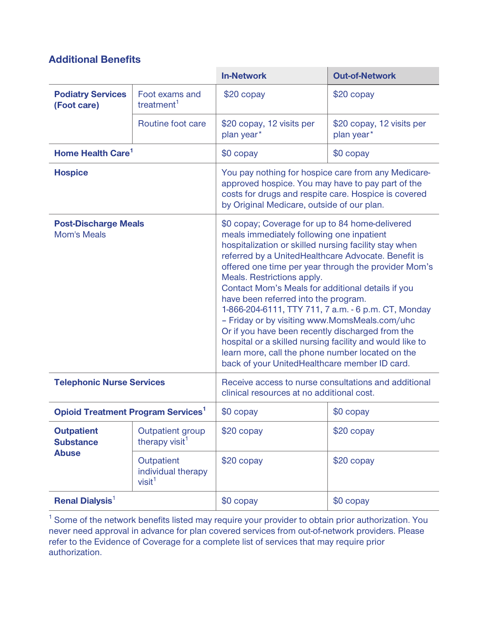#### **Additional Benefits**

|                                                       |                                                                                                                                                                                                                                                                                                                                                                                                                                                                                                                                                                                                                                                                                                                                                             | <b>In-Network</b>                                                                                                                                                                                              | <b>Out-of-Network</b>                   |
|-------------------------------------------------------|-------------------------------------------------------------------------------------------------------------------------------------------------------------------------------------------------------------------------------------------------------------------------------------------------------------------------------------------------------------------------------------------------------------------------------------------------------------------------------------------------------------------------------------------------------------------------------------------------------------------------------------------------------------------------------------------------------------------------------------------------------------|----------------------------------------------------------------------------------------------------------------------------------------------------------------------------------------------------------------|-----------------------------------------|
| <b>Podiatry Services</b><br>(Foot care)               | Foot exams and<br>treatment <sup>1</sup>                                                                                                                                                                                                                                                                                                                                                                                                                                                                                                                                                                                                                                                                                                                    | \$20 copay                                                                                                                                                                                                     | \$20 copay                              |
|                                                       | Routine foot care                                                                                                                                                                                                                                                                                                                                                                                                                                                                                                                                                                                                                                                                                                                                           | \$20 copay, 12 visits per<br>plan year*                                                                                                                                                                        | \$20 copay, 12 visits per<br>plan year* |
| Home Health Care <sup>1</sup>                         |                                                                                                                                                                                                                                                                                                                                                                                                                                                                                                                                                                                                                                                                                                                                                             | \$0 copay                                                                                                                                                                                                      | \$0 copay                               |
| <b>Hospice</b>                                        |                                                                                                                                                                                                                                                                                                                                                                                                                                                                                                                                                                                                                                                                                                                                                             | You pay nothing for hospice care from any Medicare-<br>approved hospice. You may have to pay part of the<br>costs for drugs and respite care. Hospice is covered<br>by Original Medicare, outside of our plan. |                                         |
| <b>Mom's Meals</b>                                    | <b>Post-Discharge Meals</b><br>\$0 copay; Coverage for up to 84 home-delivered<br>meals immediately following one inpatient<br>hospitalization or skilled nursing facility stay when<br>referred by a UnitedHealthcare Advocate. Benefit is<br>offered one time per year through the provider Mom's<br>Meals. Restrictions apply.<br>Contact Mom's Meals for additional details if you<br>have been referred into the program.<br>1-866-204-6111, TTY 711, 7 a.m. - 6 p.m. CT, Monday<br>- Friday or by visiting www.MomsMeals.com/uhc<br>Or if you have been recently discharged from the<br>hospital or a skilled nursing facility and would like to<br>learn more, call the phone number located on the<br>back of your UnitedHealthcare member ID card. |                                                                                                                                                                                                                |                                         |
| <b>Telephonic Nurse Services</b>                      |                                                                                                                                                                                                                                                                                                                                                                                                                                                                                                                                                                                                                                                                                                                                                             | Receive access to nurse consultations and additional<br>clinical resources at no additional cost.                                                                                                              |                                         |
| <b>Opioid Treatment Program Services<sup>1</sup></b>  |                                                                                                                                                                                                                                                                                                                                                                                                                                                                                                                                                                                                                                                                                                                                                             | \$0 copay                                                                                                                                                                                                      | \$0 copay                               |
| <b>Outpatient</b><br><b>Substance</b><br><b>Abuse</b> | <b>Outpatient group</b><br>therapy visit <sup>1</sup>                                                                                                                                                                                                                                                                                                                                                                                                                                                                                                                                                                                                                                                                                                       | \$20 copay                                                                                                                                                                                                     | \$20 copay                              |
|                                                       | Outpatient<br>individual therapy<br>visit <sup>1</sup>                                                                                                                                                                                                                                                                                                                                                                                                                                                                                                                                                                                                                                                                                                      | \$20 copay                                                                                                                                                                                                     | \$20 copay                              |
| <b>Renal Dialysis<sup>1</sup></b>                     |                                                                                                                                                                                                                                                                                                                                                                                                                                                                                                                                                                                                                                                                                                                                                             | \$0 copay                                                                                                                                                                                                      | \$0 copay                               |

<sup>1</sup> Some of the network benefits listed may require your provider to obtain prior authorization. You **never need approval in advance for plan covered services from out-of-network providers. Please refer to the Evidence of Coverage for a complete list of services that may require prior authorization.**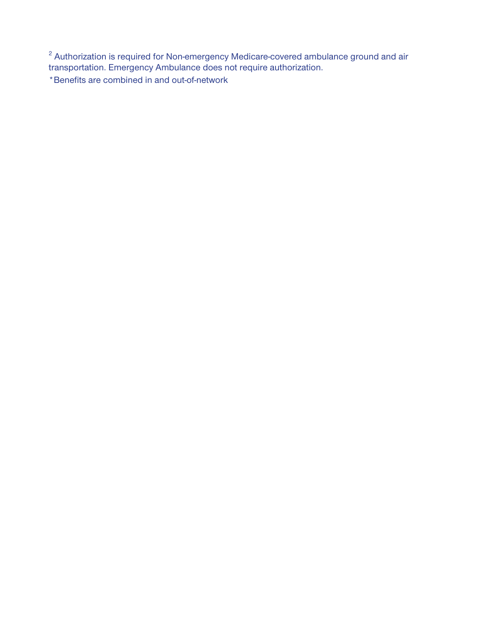**<sup>2</sup> Authorization is required for Non-emergency Medicare-covered ambulance ground and air transportation. Emergency Ambulance does not require authorization.**

**\*Benefits are combined in and out-of-network**